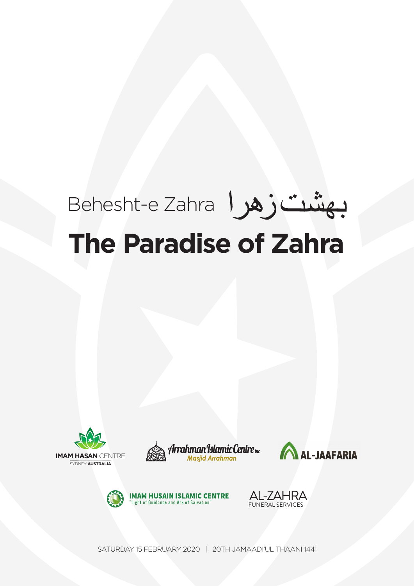# Behesht-e Zahra **The Paradise of Zahra**











SATURDAY 15 FEBRUARY 2020 | 20TH JAMAADI'UL THAANI 1441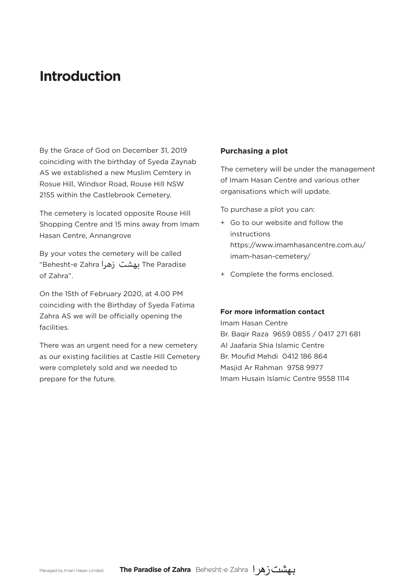## **Introduction**

By the Grace of God on December 31, 2019 coinciding with the birthday of Syeda Zaynab AS we established a new Muslim Cemtery in Rosue Hill, Windsor Road, Rouse Hill NSW 2155 within the Castlebrook Cemetery.

The cemetery is located opposite Rouse Hill Shopping Centre and 15 mins away from Imam Hasan Centre, Annangrove

By your votes the cemetery will be called "Behesht-e Zahra زهرا بهشت The Paradise of Zahra".

On the 15th of February 2020, at 4.00 PM coinciding with the Birthday of Syeda Fatima Zahra AS we will be officially opening the facilities.

There was an urgent need for a new cemetery as our existing facilities at Castle Hill Cemetery were completely sold and we needed to prepare for the future.

### **Purchasing a plot**

The cemetery will be under the management of Imam Hasan Centre and various other organisations which will update.

To purchase a plot you can:

- + Go to our website and follow the instructions https://www.imamhasancentre.com.au/ imam-hasan-cemetery/
- + Complete the forms enclosed.

### **For more information contact**

Imam Hasan Centre Br. Baqir Raza 9659 0855 / 0417 271 681 Al Jaafaria Shia Islamic Centre Br. Moufid Mehdi 0412 186 864 Masjid Ar Rahman 9758 9977 Imam Husain Islamic Centre 9558 1114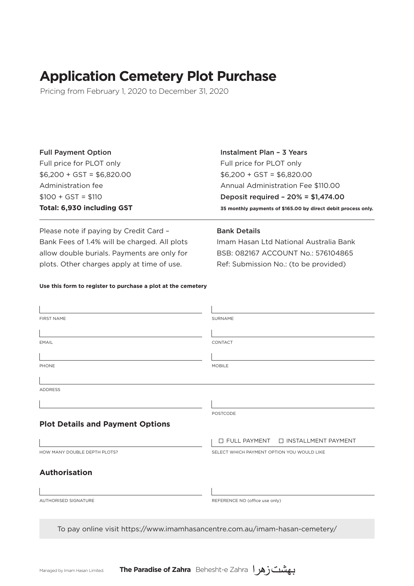# **Application Cemetery Plot Purchase**

Pricing from February 1, 2020 to December 31, 2020

| <b>Full Payment Option</b> | Instalment Plan - 3 Years                                     |
|----------------------------|---------------------------------------------------------------|
| Full price for PLOT only   | Full price for PLOT only                                      |
| $$6,200 + GST = $6,820.00$ | $$6,200 + GST = $6,820.00$                                    |
| Administration fee         | Annual Administration Fee \$110.00                            |
| $$100 + GST = $110$        | Deposit required - $20\% = $1,474.00$                         |
| Total: 6,930 including GST | 35 monthly payments of \$165.00 by direct debit process only. |

Please note if paying by Credit Card – Bank Fees of 1.4% will be charged. All plots allow double burials. Payments are only for plots. Other charges apply at time of use.

### Bank Details

Imam Hasan Ltd National Australia Bank BSB: 082167 ACCOUNT No.: 576104865 Ref: Submission No.: (to be provided)

### **Use this form to register to purchase a plot at the cemetery**

| <b>FIRST NAME</b>                                                           | <b>SURNAME</b>                               |
|-----------------------------------------------------------------------------|----------------------------------------------|
|                                                                             |                                              |
| EMAIL                                                                       | CONTACT                                      |
|                                                                             |                                              |
| PHONE                                                                       | <b>MOBILE</b>                                |
|                                                                             |                                              |
| <b>ADDRESS</b>                                                              |                                              |
|                                                                             |                                              |
|                                                                             | <b>POSTCODE</b>                              |
| <b>Plot Details and Payment Options</b>                                     |                                              |
|                                                                             | $\Box$ FULL PAYMENT<br>□ INSTALLMENT PAYMENT |
| HOW MANY DOUBLE DEPTH PLOTS?                                                | SELECT WHICH PAYMENT OPTION YOU WOULD LIKE   |
|                                                                             |                                              |
| <b>Authorisation</b>                                                        |                                              |
|                                                                             |                                              |
| AUTHORISED SIGNATURE                                                        | REFERENCE NO (office use only)               |
|                                                                             |                                              |
| To pay online visit https://www.imamhasancentre.com.au/imam-hasan-cemetery/ |                                              |
|                                                                             |                                              |

Managed by Imam Hasan Limited. **The Paradise of Zahra** Behesht-e Zahra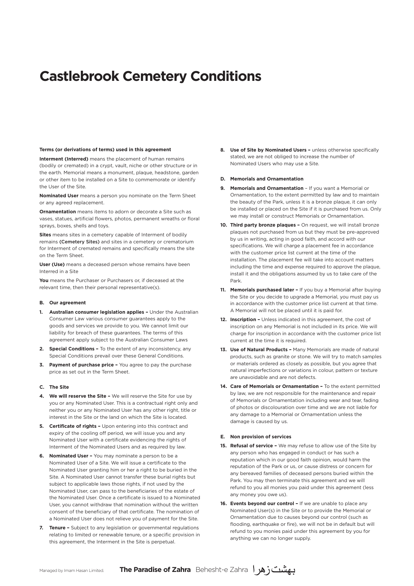# **Castlebrook Cemetery Conditions**

#### **Terms (or derivations of terms) used in this agreement**

**Interment (Interred)** means the placement of human remains (bodily or cremated) in a crypt, vault, niche or other structure or in the earth. Memorial means a monument, plaque, headstone, garden or other item to be installed on a Site to commemorate or identify the User of the Site.

**Nominated User** means a person you nominate on the Term Sheet or any agreed replacement.

**Ornamentation** means items to adorn or decorate a Site such as vases, statues, artificial flowers, photos, permanent wreaths or floral sprays, boxes, shells and toys.

**Sites** means sites in a cemetery capable of Interment of bodily remains (Cemetery Sites) and sites in a cemetery or crematorium for Interment of cremated remains and specifically means the site on the Term Sheet.

**User (Use)** means a deceased person whose remains have been Interred in a Site

**You** means the Purchaser or Purchasers or, if deceased at the relevant time, then their personal representative(s).

#### **B. Our agreement**

- **1. Australian consumer legislation applies –** Under the Australian Consumer Law various consumer guarantees apply to the goods and services we provide to you. We cannot limit our liability for breach of these guarantees. The terms of this agreement apply subject to the Australian Consumer Laws
- **2. Special Conditions –** To the extent of any inconsistency, any Special Conditions prevail over these General Conditions.
- **3. Payment of purchase price –** You agree to pay the purchase price as set out in the Term Sheet.

#### **C. The Site**

- **4. We will reserve the Site –** We will reserve the Site for use by you or any Nominated User. This is a contractual right only and neither you or any Nominated User has any other right, title or interest in the Site or the land on which the Site is located.
- **5. Certificate of rights –** Upon entering into this contract and expiry of the cooling off period, we will issue you and any Nominated User with a certificate evidencing the rights of Interment of the Nominated Users and as required by law.
- **6. Nominated User –** You may nominate a person to be a Nominated User of a Site. We will issue a certificate to the Nominated User granting him or her a right to be buried in the Site. A Nominated User cannot transfer these burial rights but subject to applicable laws those rights, if not used by the Nominated User, can pass to the beneficiaries of the estate of the Nominated User. Once a certificate is issued to a Nominated User, you cannot withdraw that nomination without the written consent of the beneficiary of that certificate. The nomination of a Nominated User does not relieve you of payment for the Site.
- **7. Tenure –** Subject to any legislation or governmental regulations relating to limited or renewable tenure, or a specific provision in this agreement, the Interment in the Site is perpetual.

**8. Use of Site by Nominated Users –** unless otherwise specifically stated, we are not obliged to increase the number of Nominated Users who may use a Site.

#### **D. Memorials and Ornamentation**

- **9. Memorials and Ornamentation**  If you want a Memorial or Ornamentation, to the extent permitted by law and to maintain the beauty of the Park, unless it is a bronze plaque, it can only be installed or placed on the Site if it is purchased from us. Only we may install or construct Memorials or Ornamentation.
- **10. Third party bronze plaques –** On request, we will install bronze plaques not purchased from us but they must be pre-approved by us in writing, acting in good faith, and accord with our specifications. We will charge a placement fee in accordance with the customer price list current at the time of the installation. The placement fee will take into account matters including the time and expense required to approve the plaque, install it and the obligations assumed by us to take care of the Park.
- **11. Memorials purchased later –** If you buy a Memorial after buying the Site or you decide to upgrade a Memorial, you must pay us in accordance with the customer price list current at that time. A Memorial will not be placed until it is paid for.
- **12. Inscription –** Unless indicated in this agreement, the cost of inscription on any Memorial is not included in its price. We will charge for inscription in accordance with the customer price list current at the time it is required.
- **13. Use of Natural Products –** Many Memorials are made of natural products, such as granite or stone. We will try to match samples or materials ordered as closely as possible, but you agree that natural imperfections or variations in colour, pattern or texture are unavoidable and are not defects.
- **14. Care of Memorials or Ornamentation –** To the extent permitted by law, we are not responsible for the maintenance and repair of Memorials or Ornamentation including wear and tear, fading of photos or discolouration over time and we are not liable for any damage to a Memorial or Ornamentation unless the damage is caused by us.

#### **E. Non provision of services**

- **15. Refusal of service –** We may refuse to allow use of the Site by any person who has engaged in conduct or has such a reputation which in our good faith opinion, would harm the reputation of the Park or us, or cause distress or concern for any bereaved families of deceased persons buried within the Park. You may then terminate this agreement and we will refund to you all monies you paid under this agreement (less any money you owe us).
- 16. Events beyond our control If we are unable to place any Nominated User(s) in the Site or to provide the Memorial or Ornamentation due to causes beyond our control (such as flooding, earthquake or fire), we will not be in default but will refund to you monies paid under this agreement by you for anything we can no longer supply.